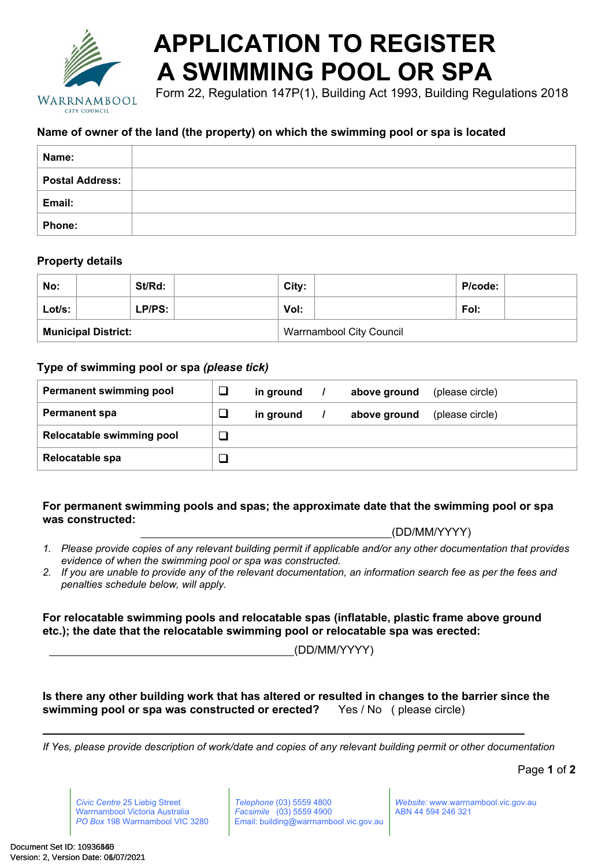

# **APPLICATION TO REGISTER A SWIMMING POOL OR SPA**

Form 22, Regulation 147P(1), Building Act 1993, Building Regulations 2018

## **Name of owner of the land (the property) on which the swimming pool or spa is located**

| Name:                  |  |
|------------------------|--|
| <b>Postal Address:</b> |  |
| Email:                 |  |
| <b>Phone:</b>          |  |

## **Property details**

| No:                        |  | St/Rd: |                                 | City: |  | P/code: |  |
|----------------------------|--|--------|---------------------------------|-------|--|---------|--|
| Lot/s:                     |  | LP/PS: |                                 | Vol:  |  | Fol:    |  |
| <b>Municipal District:</b> |  |        | <b>Warrnambool City Council</b> |       |  |         |  |

## **Type of swimming pool or spa** *(please tick)*

| <b>Permanent swimming pool</b> | in ground | above ground | (please circle) |
|--------------------------------|-----------|--------------|-----------------|
| <b>Permanent spa</b>           | in ground | above ground | (please circle) |
| Relocatable swimming pool      |           |              |                 |
| Relocatable spa                |           |              |                 |

#### **For permanent swimming pools and spas; the approximate date that the swimming pool or spa was constructed:**

|  | (DD/MM/YYYY) |  |
|--|--------------|--|
|  |              |  |

- *1. Please provide copies of any relevant building permit if applicable and/or any other documentation that provides evidence of when the swimming pool or spa was constructed.*
- *2. If you are unable to provide any of the relevant documentation, an information search fee as per the fees and penalties schedule below, will apply.*

**For relocatable swimming pools and relocatable spas (inflatable, plastic frame above ground etc.); the date that the relocatable swimming pool or relocatable spa was erected:**

(DD/MM/YYYY)

**Is there any other building work that has altered or resulted in changes to the barrier since the swimming pool or spa was constructed or erected?** Yes / No ( please circle)

*If Yes, please provide description of work/date and copies of any relevant building permit or other documentation*

Page **1** of **2**

*Civic Centre* 25 Liebig Street Warrnambool Victoria Australia *PO Box* 198 Warrnambool VIC 3280 *Telephone* (03) 5559 4800 *Facsimile* (03) 5559 4900 Email: building@warrnambool.vic.gov.au